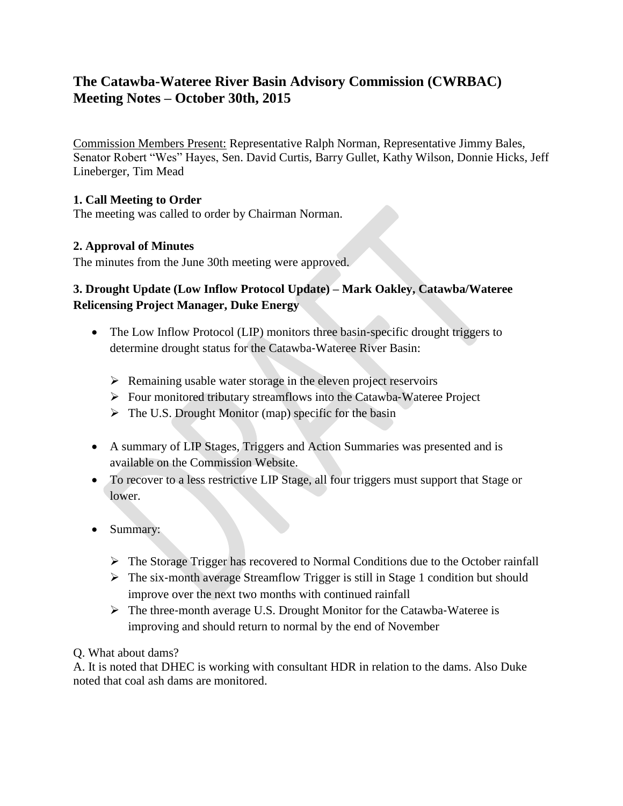# **The Catawba-Wateree River Basin Advisory Commission (CWRBAC) Meeting Notes – October 30th, 2015**

Commission Members Present: Representative Ralph Norman, Representative Jimmy Bales, Senator Robert "Wes" Hayes, Sen. David Curtis, Barry Gullet, Kathy Wilson, Donnie Hicks, Jeff Lineberger, Tim Mead

### **1. Call Meeting to Order**

The meeting was called to order by Chairman Norman.

### **2. Approval of Minutes**

The minutes from the June 30th meeting were approved.

# **3. Drought Update (Low Inflow Protocol Update) – Mark Oakley, Catawba/Wateree Relicensing Project Manager, Duke Energy**

- The Low Inflow Protocol (LIP) monitors three basin-specific drought triggers to determine drought status for the Catawba‐Wateree River Basin:
	- $\triangleright$  Remaining usable water storage in the eleven project reservoirs
	- Four monitored tributary streamflows into the Catawba‐Wateree Project
	- $\triangleright$  The U.S. Drought Monitor (map) specific for the basin
- A summary of LIP Stages, Triggers and Action Summaries was presented and is available on the Commission Website.
- To recover to a less restrictive LIP Stage, all four triggers must support that Stage or lower.
- Summary:
	- $\triangleright$  The Storage Trigger has recovered to Normal Conditions due to the October rainfall
	- $\triangleright$  The six-month average Streamflow Trigger is still in Stage 1 condition but should improve over the next two months with continued rainfall
	- The three‐month average U.S. Drought Monitor for the Catawba‐Wateree is improving and should return to normal by the end of November

Q. What about dams?

A. It is noted that DHEC is working with consultant HDR in relation to the dams. Also Duke noted that coal ash dams are monitored.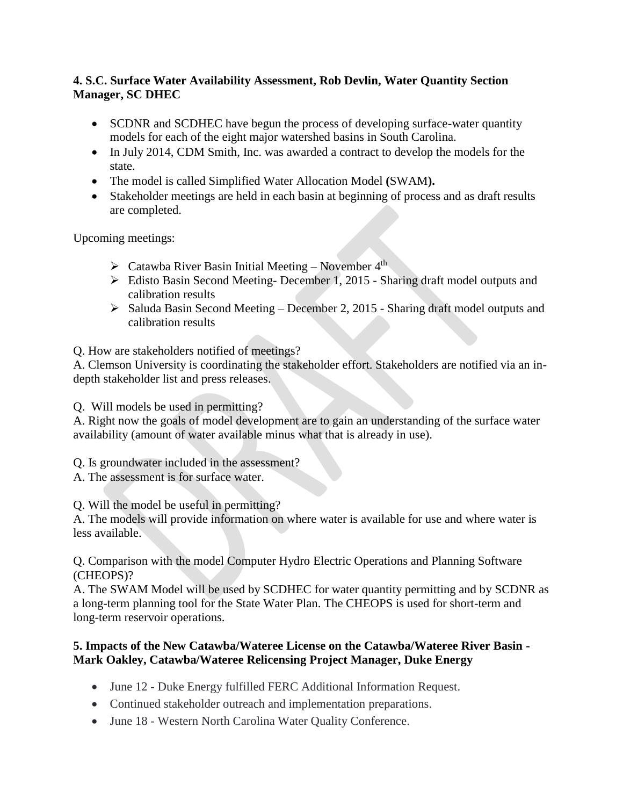#### **4. S.C. Surface Water Availability Assessment, Rob Devlin, Water Quantity Section Manager, SC DHEC**

- SCDNR and SCDHEC have begun the process of developing surface-water quantity models for each of the eight major watershed basins in South Carolina.
- In July 2014, CDM Smith, Inc. was awarded a contract to develop the models for the state.
- The model is called Simplified Water Allocation Model **(**SWAM**).**
- Stakeholder meetings are held in each basin at beginning of process and as draft results are completed.

Upcoming meetings:

- $\triangleright$  Catawba River Basin Initial Meeting November 4<sup>th</sup>
- Edisto Basin Second Meeting- December 1, 2015 Sharing draft model outputs and calibration results
- $\triangleright$  Saluda Basin Second Meeting December 2, 2015 Sharing draft model outputs and calibration results

Q. How are stakeholders notified of meetings?

A. Clemson University is coordinating the stakeholder effort. Stakeholders are notified via an indepth stakeholder list and press releases.

Q. Will models be used in permitting?

A. Right now the goals of model development are to gain an understanding of the surface water availability (amount of water available minus what that is already in use).

Q. Is groundwater included in the assessment?

A. The assessment is for surface water.

Q. Will the model be useful in permitting?

A. The models will provide information on where water is available for use and where water is less available.

Q. Comparison with the model Computer Hydro Electric Operations and Planning Software (CHEOPS)?

A. The SWAM Model will be used by SCDHEC for water quantity permitting and by SCDNR as a long-term planning tool for the State Water Plan. The CHEOPS is used for short-term and long-term reservoir operations.

### **5. Impacts of the New Catawba/Wateree License on the Catawba/Wateree River Basin - Mark Oakley, Catawba/Wateree Relicensing Project Manager, Duke Energy**

- June 12 Duke Energy fulfilled FERC Additional Information Request.
- Continued stakeholder outreach and implementation preparations.
- June 18 Western North Carolina Water Quality Conference.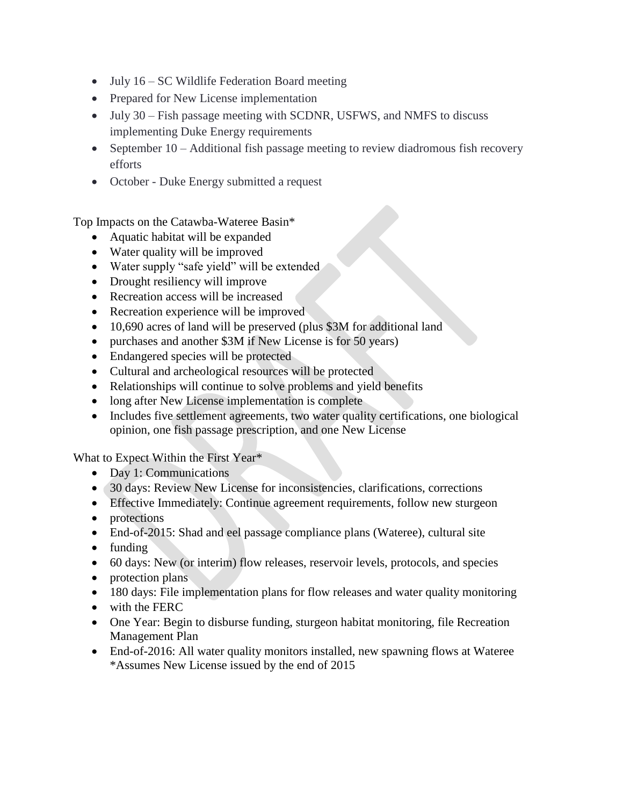- July 16 SC Wildlife Federation Board meeting
- Prepared for New License implementation
- July 30 Fish passage meeting with SCDNR, USFWS, and NMFS to discuss implementing Duke Energy requirements
- September 10 Additional fish passage meeting to review diadromous fish recovery efforts
- October Duke Energy submitted a request

Top Impacts on the Catawba-Wateree Basin\*

- Aquatic habitat will be expanded
- Water quality will be improved
- Water supply "safe yield" will be extended
- Drought resiliency will improve
- Recreation access will be increased
- Recreation experience will be improved
- 10,690 acres of land will be preserved (plus \$3M for additional land
- purchases and another \$3M if New License is for 50 years)
- Endangered species will be protected
- Cultural and archeological resources will be protected
- Relationships will continue to solve problems and yield benefits
- long after New License implementation is complete
- Includes five settlement agreements, two water quality certifications, one biological opinion, one fish passage prescription, and one New License

What to Expect Within the First Year\*

- Day 1: Communications
- 30 days: Review New License for inconsistencies, clarifications, corrections
- Effective Immediately: Continue agreement requirements, follow new sturgeon
- protections
- End-of-2015: Shad and eel passage compliance plans (Wateree), cultural site
- funding
- 60 days: New (or interim) flow releases, reservoir levels, protocols, and species
- $\bullet$  protection plans
- 180 days: File implementation plans for flow releases and water quality monitoring
- with the FERC
- One Year: Begin to disburse funding, sturgeon habitat monitoring, file Recreation Management Plan
- End-of-2016: All water quality monitors installed, new spawning flows at Wateree \*Assumes New License issued by the end of 2015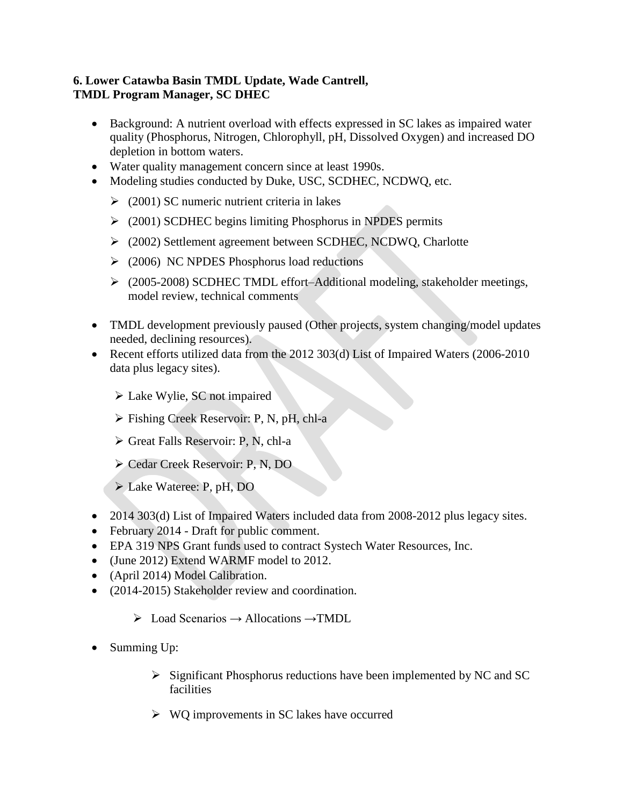#### **6. Lower Catawba Basin TMDL Update, Wade Cantrell, TMDL Program Manager, SC DHEC**

- Background: A nutrient overload with effects expressed in SC lakes as impaired water quality (Phosphorus, Nitrogen, Chlorophyll, pH, Dissolved Oxygen) and increased DO depletion in bottom waters.
- Water quality management concern since at least 1990s.
- Modeling studies conducted by Duke, USC, SCDHEC, NCDWQ, etc.
	- $\geq$  (2001) SC numeric nutrient criteria in lakes
	- $\geq$  (2001) SCDHEC begins limiting Phosphorus in NPDES permits
	- (2002) Settlement agreement between SCDHEC, NCDWQ, Charlotte
	- $\geq$  (2006) NC NPDES Phosphorus load reductions
	- (2005-2008) SCDHEC TMDL effort–Additional modeling, stakeholder meetings, model review, technical comments
- TMDL development previously paused (Other projects, system changing/model updates needed, declining resources).
- Recent efforts utilized data from the 2012 303(d) List of Impaired Waters (2006-2010 data plus legacy sites).
	- Lake Wylie, SC not impaired
	- Fishing Creek Reservoir: P, N, pH, chl-a
	- $\triangleright$  Great Falls Reservoir: P, N, chl-a
	- Cedar Creek Reservoir: P, N, DO
	- Lake Wateree: P, pH, DO
- 2014 303(d) List of Impaired Waters included data from 2008-2012 plus legacy sites.
- February 2014 Draft for public comment.
- EPA 319 NPS Grant funds used to contract Systech Water Resources, Inc.
- (June 2012) Extend WARMF model to 2012.
- (April 2014) Model Calibration.
- (2014-2015) Stakeholder review and coordination.
	- $\triangleright$  Load Scenarios  $\rightarrow$  Allocations  $\rightarrow$  TMDL
- Summing Up:
	- $\triangleright$  Significant Phosphorus reductions have been implemented by NC and SC facilities
	- $\triangleright$  WQ improvements in SC lakes have occurred